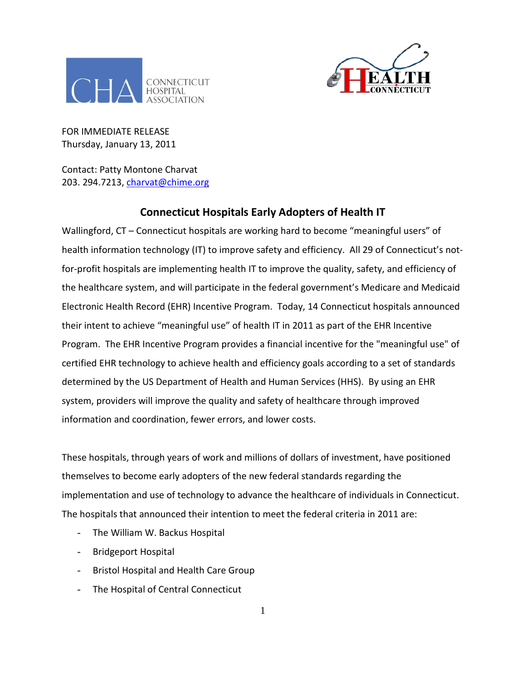



FOR IMMEDIATE RELEASE Thursday, January 13, 2011

Contact: Patty Montone Charvat 203. 294.7213, *charvat@chime.org* 

## **Connecticut Hospitals Early Adopters of Health IT**

Wallingford, CT – Connecticut hospitals are working hard to become "meaningful users" of health information technology (IT) to improve safety and efficiency. All 29 of Connecticut's notfor-profit hospitals are implementing health IT to improve the quality, safety, and efficiency of the healthcare system, and will participate in the federal government's Medicare and Medicaid Electronic Health Record (EHR) Incentive Program. Today, 14 Connecticut hospitals announced their intent to achieve "meaningful use" of health IT in 2011 as part of the EHR Incentive Program. The EHR Incentive Program provides a financial incentive for the "meaningful use" of certified EHR technology to achieve health and efficiency goals according to a set of standards determined by the US Department of Health and Human Services (HHS). By using an EHR system, providers will improve the quality and safety of healthcare through improved information and coordination, fewer errors, and lower costs.

These hospitals, through years of work and millions of dollars of investment, have positioned themselves to become early adopters of the new federal standards regarding the implementation and use of technology to advance the healthcare of individuals in Connecticut. The hospitals that announced their intention to meet the federal criteria in 2011 are:

- The William W. Backus Hospital
- Bridgeport Hospital
- Bristol Hospital and Health Care Group
- The Hospital of Central Connecticut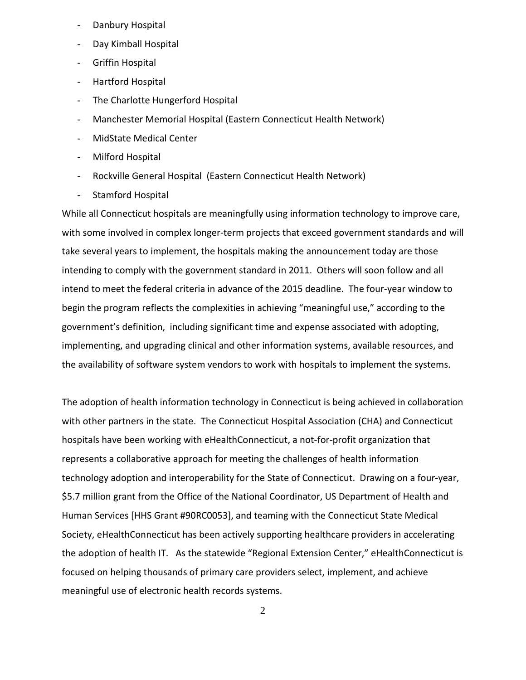- Danbury Hospital
- Day Kimball Hospital
- Griffin Hospital
- Hartford Hospital
- The Charlotte Hungerford Hospital
- Manchester Memorial Hospital (Eastern Connecticut Health Network)
- MidState Medical Center
- Milford Hospital
- Rockville General Hospital (Eastern Connecticut Health Network)
- Stamford Hospital

While all Connecticut hospitals are meaningfully using information technology to improve care, with some involved in complex longer-term projects that exceed government standards and will take several years to implement, the hospitals making the announcement today are those intending to comply with the government standard in 2011. Others will soon follow and all intend to meet the federal criteria in advance of the 2015 deadline. The four-year window to begin the program reflects the complexities in achieving "meaningful use," according to the government's definition, including significant time and expense associated with adopting, implementing, and upgrading clinical and other information systems, available resources, and the availability of software system vendors to work with hospitals to implement the systems.

The adoption of health information technology in Connecticut is being achieved in collaboration with other partners in the state. The Connecticut Hospital Association (CHA) and Connecticut hospitals have been working with eHealthConnecticut, a not-for-profit organization that represents a collaborative approach for meeting the challenges of health information technology adoption and interoperability for the State of Connecticut. Drawing on a four-year, \$5.7 million grant from the Office of the National Coordinator, US Department of Health and Human Services [HHS Grant #90RC0053], and teaming with the Connecticut State Medical Society, eHealthConnecticut has been actively supporting healthcare providers in accelerating the adoption of health IT. As the statewide "Regional Extension Center," eHealthConnecticut is focused on helping thousands of primary care providers select, implement, and achieve meaningful use of electronic health records systems.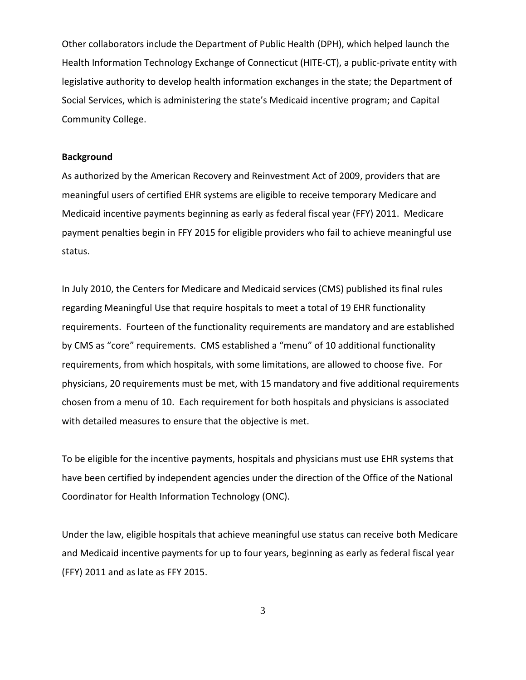Other collaborators include the Department of Public Health (DPH), which helped launch the Health Information Technology Exchange of Connecticut (HITE-CT), a public-private entity with legislative authority to develop health information exchanges in the state; the Department of Social Services, which is administering the state's Medicaid incentive program; and Capital Community College.

## **Background**

As authorized by the American Recovery and Reinvestment Act of 2009, providers that are meaningful users of certified EHR systems are eligible to receive temporary Medicare and Medicaid incentive payments beginning as early as federal fiscal year (FFY) 2011. Medicare payment penalties begin in FFY 2015 for eligible providers who fail to achieve meaningful use status.

In July 2010, the Centers for Medicare and Medicaid services (CMS) published its final rules regarding Meaningful Use that require hospitals to meet a total of 19 EHR functionality requirements. Fourteen of the functionality requirements are mandatory and are established by CMS as "core" requirements. CMS established a "menu" of 10 additional functionality requirements, from which hospitals, with some limitations, are allowed to choose five. For physicians, 20 requirements must be met, with 15 mandatory and five additional requirements chosen from a menu of 10. Each requirement for both hospitals and physicians is associated with detailed measures to ensure that the objective is met.

To be eligible for the incentive payments, hospitals and physicians must use EHR systems that have been certified by independent agencies under the direction of the Office of the National Coordinator for Health Information Technology (ONC).

Under the law, eligible hospitals that achieve meaningful use status can receive both Medicare and Medicaid incentive payments for up to four years, beginning as early as federal fiscal year (FFY) 2011 and as late as FFY 2015.

3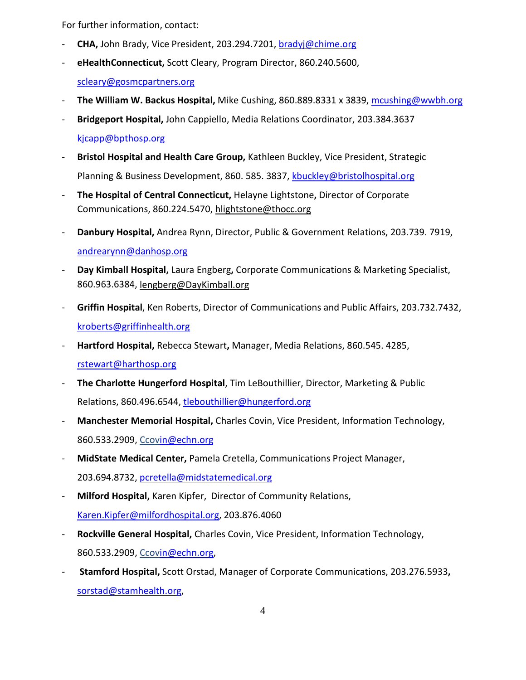For further information, contact:

- **CHA,** John Brady, Vice President, 203.294.7201, [bradyj@chime.org](mailto:bradyj@chime.org)
- **eHealthConnecticut,** Scott Cleary, Program Director, 860.240.5600, [scleary@gosmcpartners.org](mailto:scleary@gosmcpartners.org)
- The William W. Backus Hospital, Mike Cushing, 860.889.8331 x 3839, [mcushing@wwbh.org](mailto:mcushing@wwbh.org)
- **Bridgeport Hospital,** John Cappiello, Media Relations Coordinator, 203.384.3637 [kjcapp@bpthosp.org](mailto:kjcapp@bpthosp.org)
- Bristol Hospital and Health Care Group, Kathleen Buckley, Vice President, Strategic Planning & Business Development, 860. 585. 3837, [kbuckley@bristolhospital.org](mailto:kbuckley@bristolhospital.org)
- **The Hospital of Central Connecticut,** Helayne Lightstone**,** Director of Corporate Communications, 860.224.5470, [hlightstone@thocc.org](mailto:hlightstone@thocc.org)
- **Danbury Hospital,** Andrea Rynn, Director, Public & Government Relations, 203.739. 7919, [andrearynn@danhosp.org](mailto:andrearynn@danhosp.org)
- **Day Kimball Hospital,** Laura Engberg**,** Corporate Communications & Marketing Specialist, 860.963.6384, [lengberg@DayKimball.org](mailto:lengberg@DayKimball.org)
- **Griffin Hospital**, Ken Roberts, Director of Communications and Public Affairs, 203.732.7432, [kroberts@griffinhealth.org](mailto:kroberts@griffinhealth.org)
- **Hartford Hospital,** Rebecca Stewart**,** Manager, Media Relations, 860.545. 4285, [rstewart@harthosp.org](mailto:rstewart@harthosp.org)
- **The Charlotte Hungerford Hospital**, Tim LeBouthillier, Director, Marketing & Public Relations, 860.496.6544, [tlebouthillier@hungerford.org](mailto:tlebouthillier@hungerford.org)
- **Manchester Memorial Hospital,** Charles Covin, Vice President, Information Technology, 860.533.2909, Ccovin@echn.org
- **MidState Medical Center,** Pamela Cretella, Communications Project Manager, 203.694.8732, [pcretella@midstatemedical.org](https://mail1.cthosp.org/owa/redir.aspx?C=751e6dfb5c6d4f49997d2ae152e1a142&URL=mailto%3apcretella%40midstatemedical.org)
- **Milford Hospital,** Karen Kipfer, Director of Community Relations, [Karen.Kipfer@milfordhospital.org,](mailto:Karen.Kipfer@milfordhospital.org) 203.876.4060
- Rockville General Hospital, Charles Covin, Vice President, Information Technology, 860.533.2909, Ccovin@echn.org,
- **Stamford Hospital,** Scott Orstad, Manager of Corporate Communications, 203.276.5933**,**  [sorstad@stamhealth.org,](mailto:sorstad@stamhealth.org)